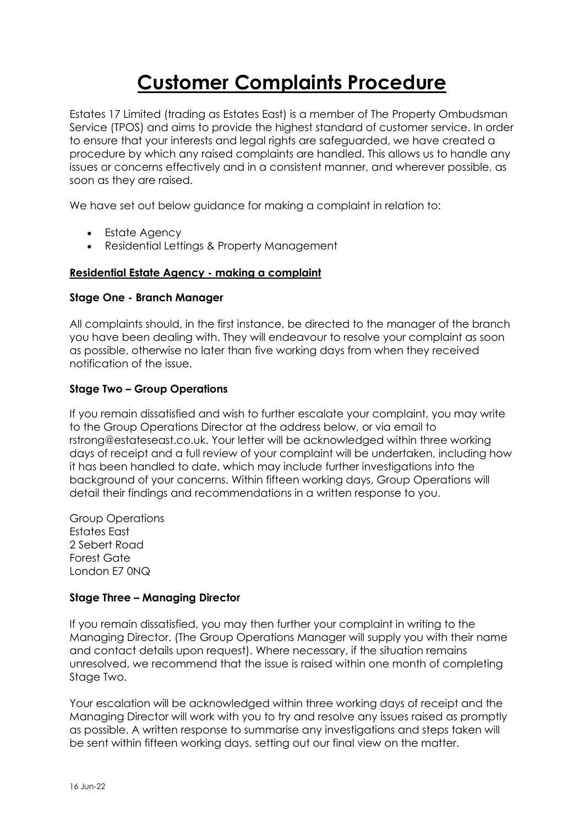# **Customer Complaints Procedure**

Estates 17 Limited (trading as Estates East) is a member of The Property Ombudsman Service (TPOS) and aims to provide the highest standard of customer service. In order to ensure that your interests and legal rights are safeguarded, we have created a procedure by which any raised complaints are handled. This allows us to handle any issues or concerns effectively and in a consistent manner, and wherever possible, as soon as they are raised.

We have set out below guidance for making a complaint in relation to:

- Estate Agency
- Residential Lettings & Property Management

# **Residential Estate Agency - making a complaint**

# **Stage One - Branch Manager**

All complaints should, in the first instance, be directed to the manager of the branch you have been dealing with. They will endeavour to resolve your complaint as soon as possible, otherwise no later than five working days from when they received notification of the issue.

# **Stage Two – Group Operations**

If you remain dissatisfied and wish to further escalate your complaint, you may write to the Group Operations Director at the address below, or via email to rstrong@estateseast.co.uk. Your letter will be acknowledged within three working days of receipt and a full review of your complaint will be undertaken, including how it has been handled to date, which may include further investigations into the background of your concerns. Within fifteen working days, Group Operations will detail their findings and recommendations in a written response to you.

Group Operations Estates East 2 Sebert Road Forest Gate London E7 0NQ

# **Stage Three – Managing Director**

If you remain dissatisfied, you may then further your complaint in writing to the Managing Director. (The Group Operations Manager will supply you with their name and contact details upon request). Where necessary, if the situation remains unresolved, we recommend that the issue is raised within one month of completing Stage Two.

Your escalation will be acknowledged within three working days of receipt and the Managing Director will work with you to try and resolve any issues raised as promptly as possible. A written response to summarise any investigations and steps taken will be sent within fifteen working days, setting out our final view on the matter.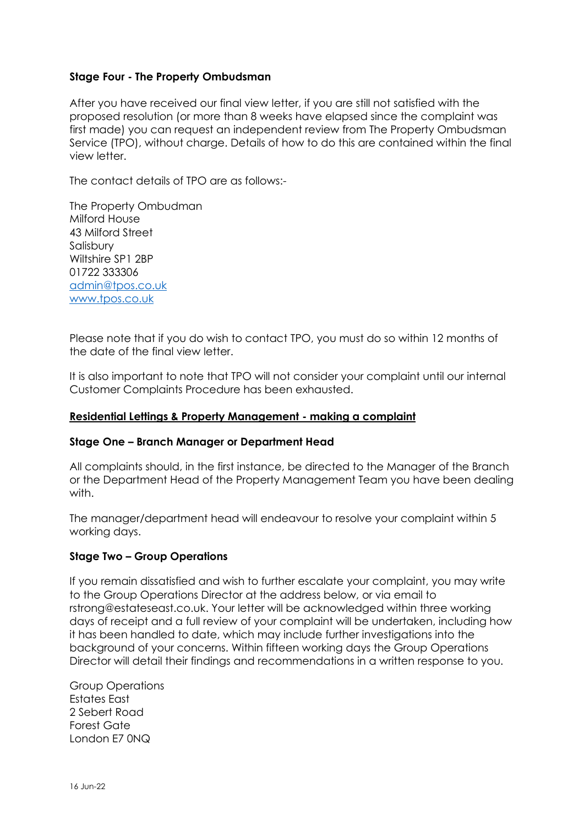# **Stage Four - The Property Ombudsman**

After you have received our final view letter, if you are still not satisfied with the proposed resolution (or more than 8 weeks have elapsed since the complaint was first made) you can request an independent review from The Property Ombudsman Service (TPO), without charge. Details of how to do this are contained within the final view letter.

The contact details of TPO are as follows:-

The Property Ombudman Milford House 43 Milford Street Salisbury Wiltshire SP1 2BP 01722 333306 [admin@tpos.co.uk](mailto:admin@tpos.co.uk) [www.tpos.co.uk](http://www.tpos.co.uk/)

Please note that if you do wish to contact TPO, you must do so within 12 months of the date of the final view letter.

It is also important to note that TPO will not consider your complaint until our internal Customer Complaints Procedure has been exhausted.

# **Residential Lettings & Property Management - making a complaint**

# **Stage One – Branch Manager or Department Head**

All complaints should, in the first instance, be directed to the Manager of the Branch or the Department Head of the Property Management Team you have been dealing with.

The manager/department head will endeavour to resolve your complaint within 5 working days.

# **Stage Two – Group Operations**

If you remain dissatisfied and wish to further escalate your complaint, you may write to the Group Operations Director at the address below, or via email to rstrong@estateseast.co.uk. Your letter will be acknowledged within three working days of receipt and a full review of your complaint will be undertaken, including how it has been handled to date, which may include further investigations into the background of your concerns. Within fifteen working days the Group Operations Director will detail their findings and recommendations in a written response to you.

Group Operations Estates East 2 Sebert Road Forest Gate London E7 0NQ